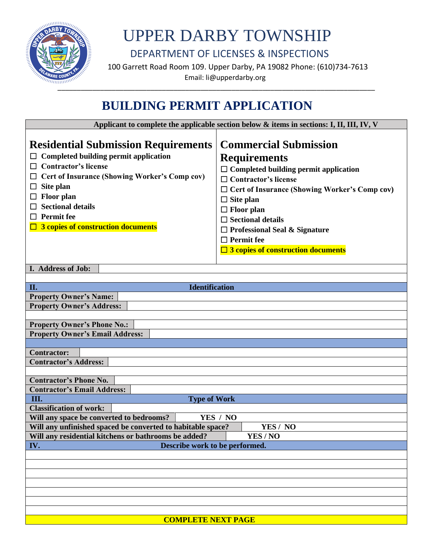

## UPPER DARBY TOWNSHIP

DEPARTMENT OF LICENSES & INSPECTIONS

 100 Garrett Road Room 109. Upper Darby, PA 19082 Phone: (610)734-7613 Email: li@upperdarby.org

### **BUILDING PERMIT APPLICATION**

 **Applicant to complete the applicable section below & items in sections: I, II, III, IV, V**

| <b>Residential Submission Requirements</b><br><b>Completed building permit application</b><br>$\Box$ Contractor's license<br>□ Cert of Insurance (Showing Worker's Comp cov)<br>Site plan<br>ப<br><b>Floor</b> plan<br>$\Box$<br><b>Sectional details</b><br>□<br>$\Box$ Permit fee<br>$\Box$ 3 copies of construction documents | <b>Commercial Submission</b><br><b>Requirements</b><br>$\Box$ Completed building permit application<br>$\Box$ Contractor's license<br>$\Box$ Cert of Insurance (Showing Worker's Comp cov)<br>$\Box$ Site plan<br>$\Box$ Floor plan<br>$\Box$ Sectional details<br>$\Box$ Professional Seal & Signature<br>$\Box$ Permit fee<br>$\Box$ 3 copies of construction documents |  |  |  |
|----------------------------------------------------------------------------------------------------------------------------------------------------------------------------------------------------------------------------------------------------------------------------------------------------------------------------------|---------------------------------------------------------------------------------------------------------------------------------------------------------------------------------------------------------------------------------------------------------------------------------------------------------------------------------------------------------------------------|--|--|--|
| I. Address of Job:                                                                                                                                                                                                                                                                                                               |                                                                                                                                                                                                                                                                                                                                                                           |  |  |  |
|                                                                                                                                                                                                                                                                                                                                  |                                                                                                                                                                                                                                                                                                                                                                           |  |  |  |
| <b>Identification</b><br>II.                                                                                                                                                                                                                                                                                                     |                                                                                                                                                                                                                                                                                                                                                                           |  |  |  |
| <b>Property Owner's Name:</b><br><b>Property Owner's Address:</b>                                                                                                                                                                                                                                                                |                                                                                                                                                                                                                                                                                                                                                                           |  |  |  |
|                                                                                                                                                                                                                                                                                                                                  |                                                                                                                                                                                                                                                                                                                                                                           |  |  |  |
| <b>Property Owner's Phone No.:</b>                                                                                                                                                                                                                                                                                               |                                                                                                                                                                                                                                                                                                                                                                           |  |  |  |
| <b>Property Owner's Email Address:</b>                                                                                                                                                                                                                                                                                           |                                                                                                                                                                                                                                                                                                                                                                           |  |  |  |
|                                                                                                                                                                                                                                                                                                                                  |                                                                                                                                                                                                                                                                                                                                                                           |  |  |  |
| <b>Contractor:</b>                                                                                                                                                                                                                                                                                                               |                                                                                                                                                                                                                                                                                                                                                                           |  |  |  |
| <b>Contractor's Address:</b>                                                                                                                                                                                                                                                                                                     |                                                                                                                                                                                                                                                                                                                                                                           |  |  |  |
|                                                                                                                                                                                                                                                                                                                                  |                                                                                                                                                                                                                                                                                                                                                                           |  |  |  |
| <b>Contractor's Phone No.</b>                                                                                                                                                                                                                                                                                                    |                                                                                                                                                                                                                                                                                                                                                                           |  |  |  |
| <b>Contractor's Email Address:</b>                                                                                                                                                                                                                                                                                               |                                                                                                                                                                                                                                                                                                                                                                           |  |  |  |
| Ш.<br><b>Type of Work</b>                                                                                                                                                                                                                                                                                                        |                                                                                                                                                                                                                                                                                                                                                                           |  |  |  |
| <b>Classification of work:</b>                                                                                                                                                                                                                                                                                                   |                                                                                                                                                                                                                                                                                                                                                                           |  |  |  |
| Will any space be converted to bedrooms?<br>YES / NO                                                                                                                                                                                                                                                                             |                                                                                                                                                                                                                                                                                                                                                                           |  |  |  |
| Will any unfinished spaced be converted to habitable space?<br>YES / NO                                                                                                                                                                                                                                                          |                                                                                                                                                                                                                                                                                                                                                                           |  |  |  |
| YES / NO<br>Will any residential kitchens or bathrooms be added?                                                                                                                                                                                                                                                                 |                                                                                                                                                                                                                                                                                                                                                                           |  |  |  |
| IV.<br>Describe work to be performed.                                                                                                                                                                                                                                                                                            |                                                                                                                                                                                                                                                                                                                                                                           |  |  |  |
|                                                                                                                                                                                                                                                                                                                                  |                                                                                                                                                                                                                                                                                                                                                                           |  |  |  |
|                                                                                                                                                                                                                                                                                                                                  |                                                                                                                                                                                                                                                                                                                                                                           |  |  |  |
|                                                                                                                                                                                                                                                                                                                                  |                                                                                                                                                                                                                                                                                                                                                                           |  |  |  |
|                                                                                                                                                                                                                                                                                                                                  |                                                                                                                                                                                                                                                                                                                                                                           |  |  |  |
|                                                                                                                                                                                                                                                                                                                                  |                                                                                                                                                                                                                                                                                                                                                                           |  |  |  |
|                                                                                                                                                                                                                                                                                                                                  |                                                                                                                                                                                                                                                                                                                                                                           |  |  |  |
| <b>COMPLETE NEXT PAGE</b>                                                                                                                                                                                                                                                                                                        |                                                                                                                                                                                                                                                                                                                                                                           |  |  |  |